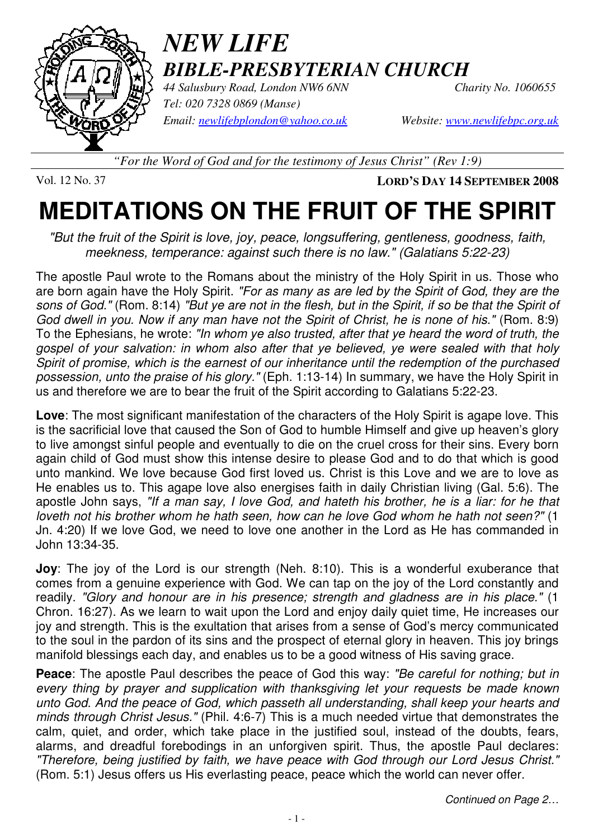

## *NEW LIFE BIBLE-PRESBYTERIAN CHURCH*

*44 Salusbury Road, London NW6 6NN Charity No. 1060655 Tel: 020 7328 0869 (Manse) Email: newlifebplondon@yahoo.co.uk Website: www.newlifebpc.org.uk*

*"For the Word of God and for the testimony of Jesus Christ" (Rev 1:9)*

Vol. 12 No. 37 **LORD'S DAY 14 SEPTEMBER 2008**

## **MEDITATIONS ON THE FRUIT OF THE SPIRIT**

"But the fruit of the Spirit is love, joy, peace, longsuffering, gentleness, goodness, faith, meekness, temperance: against such there is no law." (Galatians 5:22-23)

The apostle Paul wrote to the Romans about the ministry of the Holy Spirit in us. Those who are born again have the Holy Spirit. "For as many as are led by the Spirit of God, they are the sons of God." (Rom. 8:14) "But ye are not in the flesh, but in the Spirit, if so be that the Spirit of God dwell in you. Now if any man have not the Spirit of Christ, he is none of his." (Rom. 8:9) To the Ephesians, he wrote: "In whom ye also trusted, after that ye heard the word of truth, the gospel of your salvation: in whom also after that ye believed, ye were sealed with that holy Spirit of promise, which is the earnest of our inheritance until the redemption of the purchased possession, unto the praise of his glory." (Eph. 1:13-14) In summary, we have the Holy Spirit in us and therefore we are to bear the fruit of the Spirit according to Galatians 5:22-23.

**Love**: The most significant manifestation of the characters of the Holy Spirit is agape love. This is the sacrificial love that caused the Son of God to humble Himself and give up heaven's glory to live amongst sinful people and eventually to die on the cruel cross for their sins. Every born again child of God must show this intense desire to please God and to do that which is good unto mankind. We love because God first loved us. Christ is this Love and we are to love as He enables us to. This agape love also energises faith in daily Christian living (Gal. 5:6). The apostle John says, "If a man say, I love God, and hateth his brother, he is a liar: for he that loveth not his brother whom he hath seen, how can he love God whom he hath not seen?" (1 Jn. 4:20) If we love God, we need to love one another in the Lord as He has commanded in John 13:34-35.

**Joy**: The joy of the Lord is our strength (Neh. 8:10). This is a wonderful exuberance that comes from a genuine experience with God. We can tap on the joy of the Lord constantly and readily. "Glory and honour are in his presence; strength and gladness are in his place." (1 Chron. 16:27). As we learn to wait upon the Lord and enjoy daily quiet time, He increases our joy and strength. This is the exultation that arises from a sense of God's mercy communicated to the soul in the pardon of its sins and the prospect of eternal glory in heaven. This joy brings manifold blessings each day, and enables us to be a good witness of His saving grace.

**Peace:** The apostle Paul describes the peace of God this way: "Be careful for nothing; but in every thing by prayer and supplication with thanksgiving let your requests be made known unto God. And the peace of God, which passeth all understanding, shall keep your hearts and minds through Christ Jesus." (Phil. 4:6-7) This is a much needed virtue that demonstrates the calm, quiet, and order, which take place in the justified soul, instead of the doubts, fears, alarms, and dreadful forebodings in an unforgiven spirit. Thus, the apostle Paul declares: "Therefore, being justified by faith, we have peace with God through our Lord Jesus Christ." (Rom. 5:1) Jesus offers us His everlasting peace, peace which the world can never offer.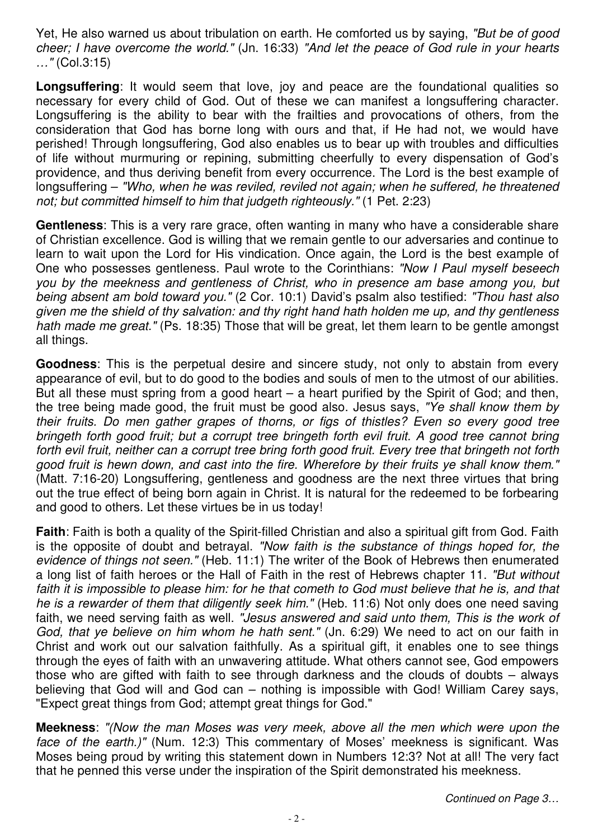Yet, He also warned us about tribulation on earth. He comforted us by saying, "But be of good cheer; I have overcome the world." (Jn. 16:33) "And let the peace of God rule in your hearts …" (Col.3:15)

**Longsuffering**: It would seem that love, joy and peace are the foundational qualities so necessary for every child of God. Out of these we can manifest a longsuffering character. Longsuffering is the ability to bear with the frailties and provocations of others, from the consideration that God has borne long with ours and that, if He had not, we would have perished! Through longsuffering, God also enables us to bear up with troubles and difficulties of life without murmuring or repining, submitting cheerfully to every dispensation of God's providence, and thus deriving benefit from every occurrence. The Lord is the best example of longsuffering – "Who, when he was reviled, reviled not again; when he suffered, he threatened not; but committed himself to him that judgeth righteously." (1 Pet. 2:23)

**Gentleness**: This is a very rare grace, often wanting in many who have a considerable share of Christian excellence. God is willing that we remain gentle to our adversaries and continue to learn to wait upon the Lord for His vindication. Once again, the Lord is the best example of One who possesses gentleness. Paul wrote to the Corinthians: "Now I Paul myself beseech you by the meekness and gentleness of Christ, who in presence am base among you, but being absent am bold toward you." (2 Cor. 10:1) David's psalm also testified: "Thou hast also given me the shield of thy salvation: and thy right hand hath holden me up, and thy gentleness hath made me great." (Ps. 18:35) Those that will be great, let them learn to be gentle amongst all things.

**Goodness**: This is the perpetual desire and sincere study, not only to abstain from every appearance of evil, but to do good to the bodies and souls of men to the utmost of our abilities. But all these must spring from a good heart – a heart purified by the Spirit of God; and then, the tree being made good, the fruit must be good also. Jesus says, "Ye shall know them by their fruits. Do men gather grapes of thorns, or figs of thistles? Even so every good tree bringeth forth good fruit; but a corrupt tree bringeth forth evil fruit. A good tree cannot bring forth evil fruit, neither can a corrupt tree bring forth good fruit. Every tree that bringeth not forth good fruit is hewn down, and cast into the fire. Wherefore by their fruits ye shall know them." (Matt. 7:16-20) Longsuffering, gentleness and goodness are the next three virtues that bring out the true effect of being born again in Christ. It is natural for the redeemed to be forbearing and good to others. Let these virtues be in us today!

**Faith:** Faith is both a quality of the Spirit-filled Christian and also a spiritual gift from God. Faith is the opposite of doubt and betrayal. "Now faith is the substance of things hoped for, the evidence of things not seen." (Heb. 11:1) The writer of the Book of Hebrews then enumerated a long list of faith heroes or the Hall of Faith in the rest of Hebrews chapter 11. "But without faith it is impossible to please him: for he that cometh to God must believe that he is, and that he is a rewarder of them that diligently seek him." (Heb. 11:6) Not only does one need saving faith, we need serving faith as well. "Jesus answered and said unto them, This is the work of God, that ye believe on him whom he hath sent." (Jn. 6:29) We need to act on our faith in Christ and work out our salvation faithfully. As a spiritual gift, it enables one to see things through the eyes of faith with an unwavering attitude. What others cannot see, God empowers those who are gifted with faith to see through darkness and the clouds of doubts – always believing that God will and God can – nothing is impossible with God! William Carey says, "Expect great things from God; attempt great things for God."

**Meekness**: "(Now the man Moses was very meek, above all the men which were upon the face of the earth.)" (Num. 12:3) This commentary of Moses' meekness is significant. Was Moses being proud by writing this statement down in Numbers 12:3? Not at all! The very fact that he penned this verse under the inspiration of the Spirit demonstrated his meekness.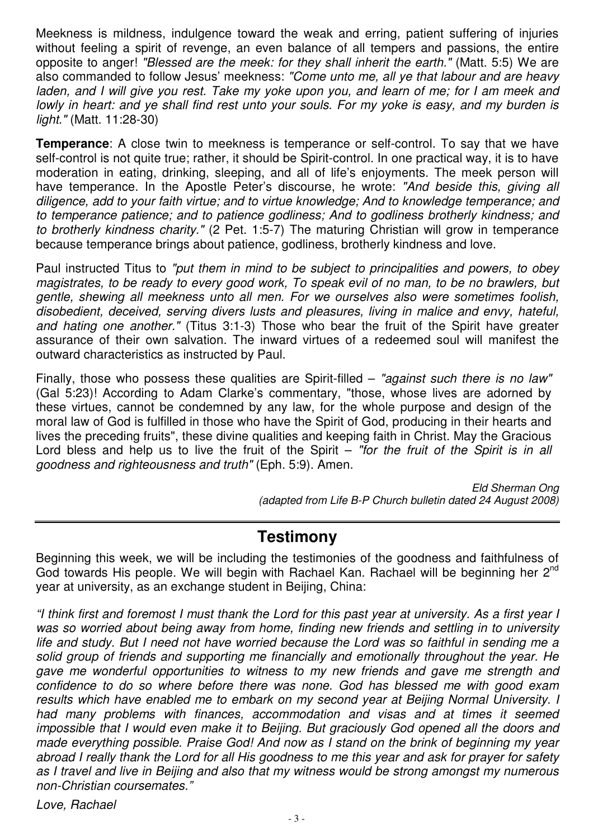Meekness is mildness, indulgence toward the weak and erring, patient suffering of injuries without feeling a spirit of revenge, an even balance of all tempers and passions, the entire opposite to anger! "Blessed are the meek: for they shall inherit the earth." (Matt. 5:5) We are also commanded to follow Jesus' meekness: "Come unto me, all ye that labour and are heavy laden, and I will give you rest. Take my yoke upon you, and learn of me; for I am meek and lowly in heart: and ye shall find rest unto your souls. For my yoke is easy, and my burden is light." (Matt. 11:28-30)

**Temperance**: A close twin to meekness is temperance or self-control. To say that we have self-control is not quite true; rather, it should be Spirit-control. In one practical way, it is to have moderation in eating, drinking, sleeping, and all of life's enjoyments. The meek person will have temperance. In the Apostle Peter's discourse, he wrote: "And beside this, giving all diligence, add to your faith virtue; and to virtue knowledge; And to knowledge temperance; and to temperance patience; and to patience godliness; And to godliness brotherly kindness; and to brotherly kindness charity." (2 Pet. 1:5-7) The maturing Christian will grow in temperance because temperance brings about patience, godliness, brotherly kindness and love.

Paul instructed Titus to "put them in mind to be subject to principalities and powers, to obey magistrates, to be ready to every good work, To speak evil of no man, to be no brawlers, but gentle, shewing all meekness unto all men. For we ourselves also were sometimes foolish, disobedient, deceived, serving divers lusts and pleasures, living in malice and envy, hateful, and hating one another." (Titus 3:1-3) Those who bear the fruit of the Spirit have greater assurance of their own salvation. The inward virtues of a redeemed soul will manifest the outward characteristics as instructed by Paul.

Finally, those who possess these qualities are Spirit-filled – "against such there is no law" (Gal 5:23)! According to Adam Clarke's commentary, "those, whose lives are adorned by these virtues, cannot be condemned by any law, for the whole purpose and design of the moral law of God is fulfilled in those who have the Spirit of God, producing in their hearts and lives the preceding fruits", these divine qualities and keeping faith in Christ. May the Gracious Lord bless and help us to live the fruit of the Spirit – "for the fruit of the Spirit is in all goodness and righteousness and truth" (Eph. 5:9). Amen.

> Eld Sherman Ong (adapted from Life B-P Church bulletin dated 24 August 2008)

## **Testimony**

Beginning this week, we will be including the testimonies of the goodness and faithfulness of God towards His people. We will begin with Rachael Kan. Rachael will be beginning her  $2^{nd}$ year at university, as an exchange student in Beijing, China:

"I think first and foremost I must thank the Lord for this past year at university. As a first year I was so worried about being away from home, finding new friends and settling in to university life and study. But I need not have worried because the Lord was so faithful in sending me a solid group of friends and supporting me financially and emotionally throughout the year. He gave me wonderful opportunities to witness to my new friends and gave me strength and confidence to do so where before there was none. God has blessed me with good exam results which have enabled me to embark on my second year at Beijing Normal University. I had many problems with finances, accommodation and visas and at times it seemed impossible that I would even make it to Beijing. But graciously God opened all the doors and made everything possible. Praise God! And now as I stand on the brink of beginning my year abroad I really thank the Lord for all His goodness to me this year and ask for prayer for safety as I travel and live in Beijing and also that my witness would be strong amongst my numerous non-Christian coursemates."

Love, Rachael